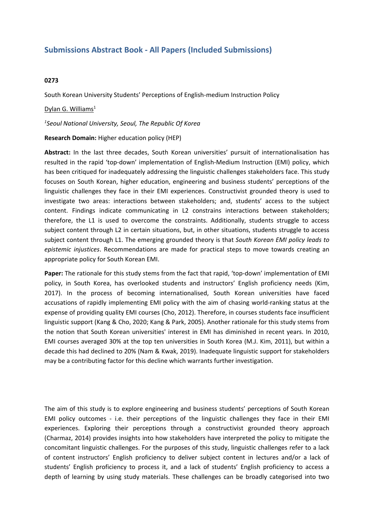# **Submissions Abstract Book - All Papers (Included Submissions)**

## **0273**

South Korean University Students' Perceptions of English-medium Instruction Policy

### Dylan G. Williams<sup>1</sup>

#### *1 Seoul National University, Seoul, The Republic Of Korea*

### **Research Domain:** Higher education policy (HEP)

**Abstract:** In the last three decades, South Korean universities' pursuit of internationalisation has resulted in the rapid 'top-down' implementation of English-Medium Instruction (EMI) policy, which has been critiqued for inadequately addressing the linguistic challenges stakeholders face. This study focuses on South Korean, higher education, engineering and business students' perceptions of the linguistic challenges they face in their EMI experiences. Constructivist grounded theory is used to investigate two areas: interactions between stakeholders; and, students' access to the subject content. Findings indicate communicating in L2 constrains interactions between stakeholders; therefore, the L1 is used to overcome the constraints. Additionally, students struggle to access subject content through L2 in certain situations, but, in other situations, students struggle to access subject content through L1. The emerging grounded theory is that *South Korean EMI policy leads to epistemic injustices*. Recommendations are made for practical steps to move towards creating an appropriate policy for South Korean EMI.

**Paper:** The rationale for this study stems from the fact that rapid, 'top-down' implementation of EMI policy, in South Korea, has overlooked students and instructors' English proficiency needs (Kim, 2017). In the process of becoming internationalised, South Korean universities have faced accusations of rapidly implementing EMI policy with the aim of chasing world-ranking status at the expense of providing quality EMI courses (Cho, 2012). Therefore, in courses students face insufficient linguistic support (Kang & Cho, 2020; Kang & Park, 2005). Another rationale for this study stems from the notion that South Korean universities' interest in EMI has diminished in recent years. In 2010, EMI courses averaged 30% at the top ten universities in South Korea (M.J. Kim, 2011), but within <sup>a</sup> decade this had declined to 20% (Nam & Kwak, 2019). Inadequate linguistic support for stakeholders may be <sup>a</sup> contributing factor for this decline which warrants further investigation.

The aim of this study is to explore engineering and business students' perceptions of South Korean EMI policy outcomes - i.e. their perceptions of the linguistic challenges they face in their EMI experiences. Exploring their perceptions through <sup>a</sup> constructivist grounded theory approach (Charmaz, 2014) provides insights into how stakeholders have interpreted the policy to mitigate the concomitant linguistic challenges. For the purposes of this study, linguistic challenges refer to <sup>a</sup> lack of content instructors' English proficiency to deliver subject content in lectures and/or <sup>a</sup> lack of students' English proficiency to process it, and <sup>a</sup> lack of students' English proficiency to access <sup>a</sup> depth of learning by using study materials. These challenges can be broadly categorised into two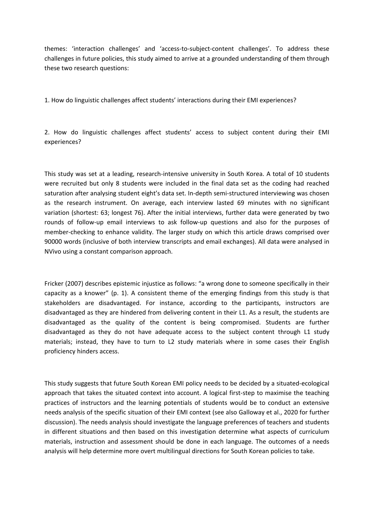themes: 'interaction challenges' and 'access-to-subject-content challenges'. To address these challenges in future policies, this study aimed to arrive at <sup>a</sup> grounded understanding of them through these two research questions:

1. How do linguistic challenges affect students' interactions during their EMI experiences?

2. How do linguistic challenges affect students' access to subject content during their EMI experiences?

This study was set at <sup>a</sup> leading, research-intensive university in South Korea. A total of 10 students were recruited but only 8 students were included in the final data set as the coding had reached saturation after analysing student eight's data set. In-depth semi-structured interviewing was chosen as the research instrument. On average, each interview lasted 69 minutes with no significant variation (shortest: 63; longest 76). After the initial interviews, further data were generated by two rounds of follow-up email interviews to ask follow-up questions and also for the purposes of member-checking to enhance validity. The larger study on which this article draws comprised over 90000 words (inclusive of both interview transcripts and email exchanges). All data were analysed in NVivo using <sup>a</sup> constant comparison approach.

Fricker (2007) describes epistemic injustice as follows: "a wrong done to someone specifically in their capacity as <sup>a</sup> knower" (p. 1). A consistent theme of the emerging findings from this study is that stakeholders are disadvantaged. For instance, according to the participants, instructors are disadvantaged as they are hindered from delivering content in their L1. As <sup>a</sup> result, the students are disadvantaged as the quality of the content is being compromised. Students are further disadvantaged as they do not have adequate access to the subject content through L1 study materials; instead, they have to turn to L2 study materials where in some cases their English proficiency hinders access.

This study suggests that future South Korean EMI policy needs to be decided by <sup>a</sup> situated-ecological approach that takes the situated context into account. A logical first-step to maximise the teaching practices of instructors and the learning potentials of students would be to conduct an extensive needs analysis of the specific situation of their EMI context (see also Galloway et al., 2020 for further discussion). The needs analysis should investigate the language preferences of teachers and students in different situations and then based on this investigation determine what aspects of curriculum materials, instruction and assessment should be done in each language. The outcomes of <sup>a</sup> needs analysis will help determine more overt multilingual directions for South Korean policies to take.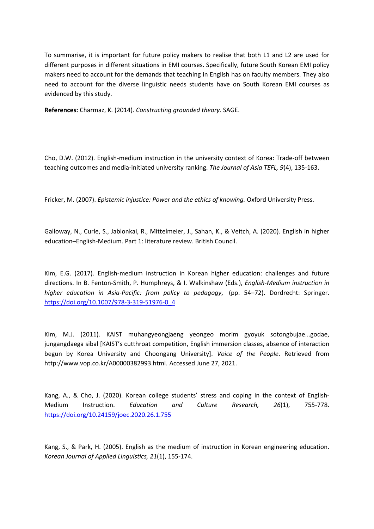To summarise, it is important for future policy makers to realise that both L1 and L2 are used for different purposes in different situations in EMI courses. Specifically, future South Korean EMI policy makers need to account for the demands that teaching in English has on faculty members. They also need to account for the diverse linguistic needs students have on South Korean EMI courses as evidenced by this study.

**References:** Charmaz, K. (2014). *Constructing grounded theory*. SAGE.

Cho, D.W. (2012). English-medium instruction in the university context of Korea: Trade-off between teaching outcomes and media-initiated university ranking. *The Journal of Asia TEFL, 9*(4), 135-163.

Fricker, M. (2007). *Epistemic injustice: Power and the ethics of knowing.* Oxford University Press.

Galloway, N., Curle, S., Jablonkai, R., Mittelmeier, J., Sahan, K., & Veitch, A. (2020). English in higher education–English-Medium. Part 1: literature review. British Council.

Kim, E.G. (2017). English-medium instruction in Korean higher education: challenges and future directions. In B. Fenton-Smith, P. Humphreys, & I. Walkinshaw (Eds.), *English-Medium instruction in higher education in Asia-Pacific: from policy to pedagogy*, (pp. 54–72). Dordrecht: Springer. [https://doi.org/10.1007/978-3-319-51976-0\\_4](https://doi.org/10.1007/978-3-319-51976-0_4)

Kim, M.J. (2011). KAIST muhangyeongjaeng yeongeo morim gyoyuk sotongbujae...godae, jungangdaega sibal [KAIST's cutthroat competition, English immersion classes, absence of interaction begun by Korea University and Choongang University]. *Voice of the People*. Retrieved from http://www.vop.co.kr/A00000382993.html. Accessed June 27, 2021.

Kang, A., & Cho, J. (2020). Korean college students' stress and coping in the context of English-Medium Instruction. *Education and Culture Research, 26*(1), 755-778. <https://doi.org/10.24159/joec.2020.26.1.755>

Kang, S., & Park, H. (2005). English as the medium of instruction in Korean engineering education. *Korean Journal of Applied Linguistics, 21*(1), 155-174.